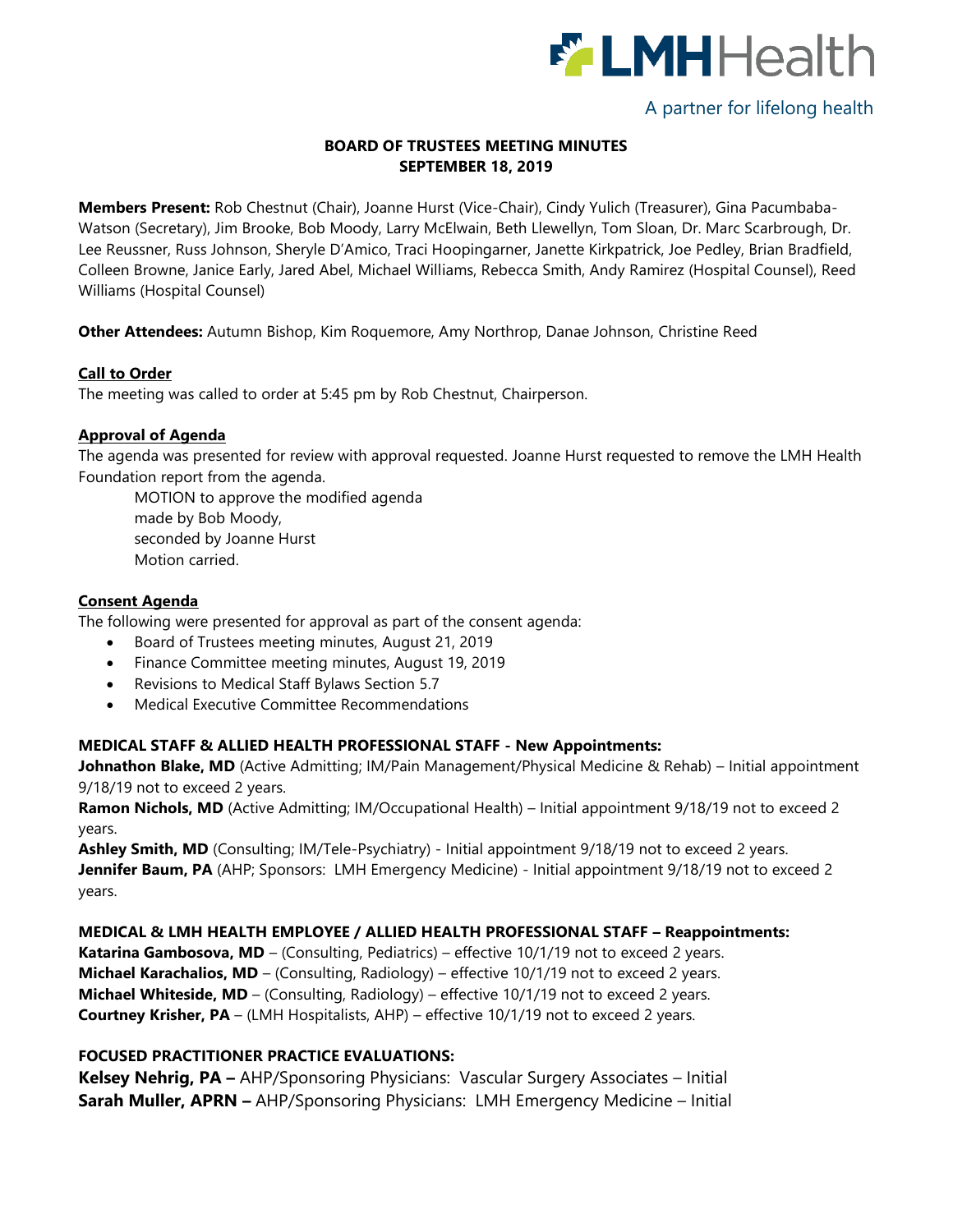

# A partner for lifelong health

## **BOARD OF TRUSTEES MEETING MINUTES SEPTEMBER 18, 2019**

**Members Present:** Rob Chestnut (Chair), Joanne Hurst (Vice-Chair), Cindy Yulich (Treasurer), Gina Pacumbaba-Watson (Secretary), Jim Brooke, Bob Moody, Larry McElwain, Beth Llewellyn, Tom Sloan, Dr. Marc Scarbrough, Dr. Lee Reussner, Russ Johnson, Sheryle D'Amico, Traci Hoopingarner, Janette Kirkpatrick, Joe Pedley, Brian Bradfield, Colleen Browne, Janice Early, Jared Abel, Michael Williams, Rebecca Smith, Andy Ramirez (Hospital Counsel), Reed Williams (Hospital Counsel)

**Other Attendees:** Autumn Bishop, Kim Roquemore, Amy Northrop, Danae Johnson, Christine Reed

#### **Call to Order**

The meeting was called to order at 5:45 pm by Rob Chestnut, Chairperson.

#### **Approval of Agenda**

The agenda was presented for review with approval requested. Joanne Hurst requested to remove the LMH Health Foundation report from the agenda.

MOTION to approve the modified agenda made by Bob Moody, seconded by Joanne Hurst Motion carried.

#### **Consent Agenda**

The following were presented for approval as part of the consent agenda:

- Board of Trustees meeting minutes, August 21, 2019
- Finance Committee meeting minutes, August 19, 2019
- Revisions to Medical Staff Bylaws Section 5.7
- Medical Executive Committee Recommendations

## **MEDICAL STAFF & ALLIED HEALTH PROFESSIONAL STAFF - New Appointments:**

**Johnathon Blake, MD** (Active Admitting; IM/Pain Management/Physical Medicine & Rehab) – Initial appointment 9/18/19 not to exceed 2 years.

**Ramon Nichols, MD** (Active Admitting; IM/Occupational Health) – Initial appointment 9/18/19 not to exceed 2 years.

**Ashley Smith, MD** (Consulting; IM/Tele-Psychiatry) - Initial appointment 9/18/19 not to exceed 2 years. **Jennifer Baum, PA** (AHP; Sponsors: LMH Emergency Medicine) - Initial appointment 9/18/19 not to exceed 2 years.

#### **MEDICAL & LMH HEALTH EMPLOYEE / ALLIED HEALTH PROFESSIONAL STAFF – Reappointments:**

Katarina Gambosova, MD - (Consulting, Pediatrics) - effective 10/1/19 not to exceed 2 years. **Michael Karachalios, MD** – (Consulting, Radiology) – effective 10/1/19 not to exceed 2 years. **Michael Whiteside, MD** – (Consulting, Radiology) – effective 10/1/19 not to exceed 2 years. **Courtney Krisher, PA** – (LMH Hospitalists, AHP) – effective 10/1/19 not to exceed 2 years.

#### **FOCUSED PRACTITIONER PRACTICE EVALUATIONS:**

**Kelsey Nehrig, PA –** AHP/Sponsoring Physicians: Vascular Surgery Associates – Initial **Sarah Muller, APRN –** AHP/Sponsoring Physicians: LMH Emergency Medicine – Initial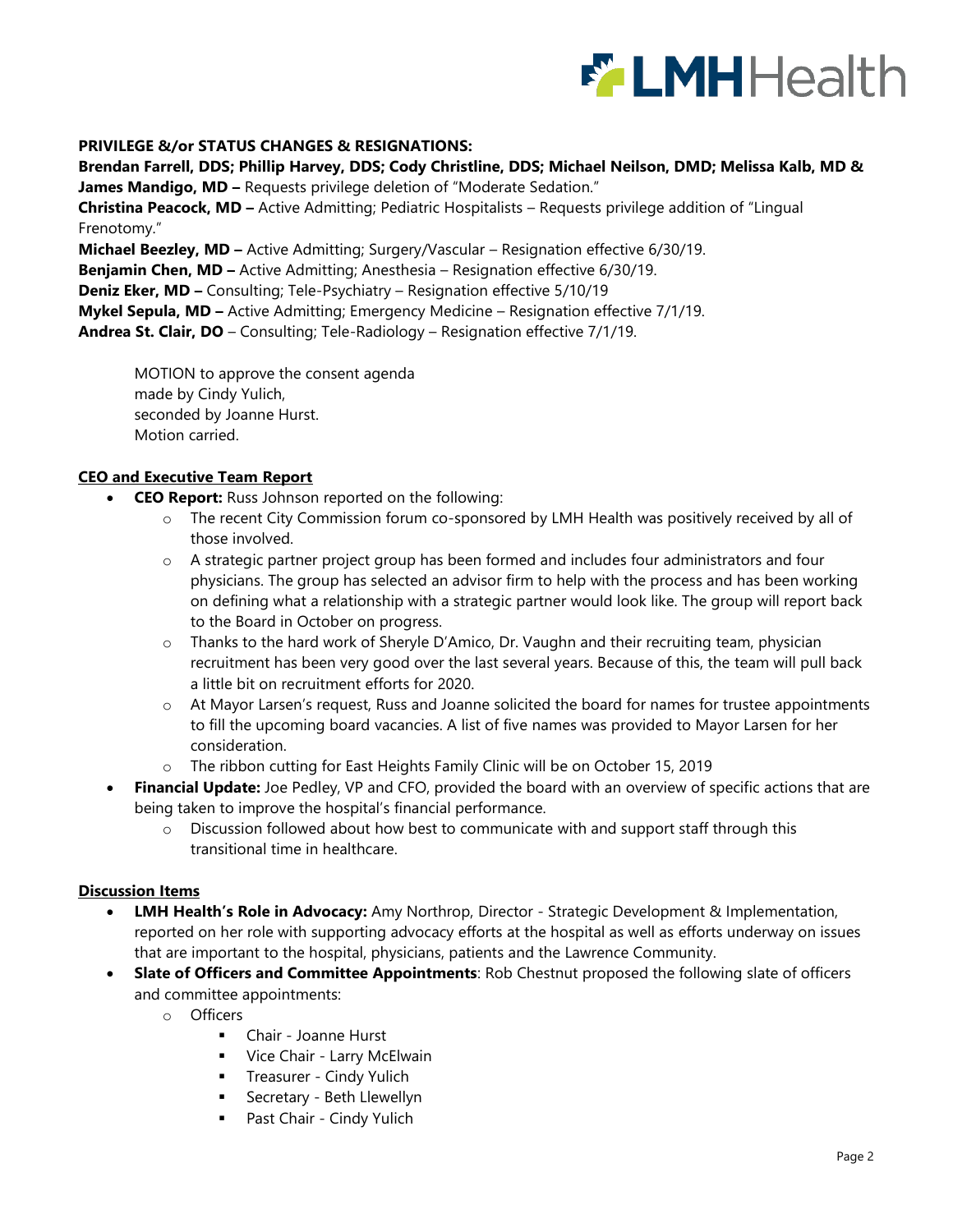

#### **PRIVILEGE &/or STATUS CHANGES & RESIGNATIONS:**

**Brendan Farrell, DDS; Phillip Harvey, DDS; Cody Christline, DDS; Michael Neilson, DMD; Melissa Kalb, MD &** 

**James Mandigo, MD –** Requests privilege deletion of "Moderate Sedation."

**Christina Peacock, MD –** Active Admitting; Pediatric Hospitalists – Requests privilege addition of "Lingual Frenotomy."

**Michael Beezley, MD –** Active Admitting; Surgery/Vascular – Resignation effective 6/30/19.

**Benjamin Chen, MD –** Active Admitting; Anesthesia – Resignation effective 6/30/19.

**Deniz Eker, MD –** Consulting; Tele-Psychiatry – Resignation effective 5/10/19

**Mykel Sepula, MD –** Active Admitting; Emergency Medicine – Resignation effective 7/1/19.

**Andrea St. Clair, DO** – Consulting; Tele-Radiology – Resignation effective 7/1/19.

MOTION to approve the consent agenda made by Cindy Yulich, seconded by Joanne Hurst. Motion carried.

#### **CEO and Executive Team Report**

- **CEO Report:** Russ Johnson reported on the following:
	- o The recent City Commission forum co-sponsored by LMH Health was positively received by all of those involved.
	- $\circ$  A strategic partner project group has been formed and includes four administrators and four physicians. The group has selected an advisor firm to help with the process and has been working on defining what a relationship with a strategic partner would look like. The group will report back to the Board in October on progress.
	- o Thanks to the hard work of Sheryle D'Amico, Dr. Vaughn and their recruiting team, physician recruitment has been very good over the last several years. Because of this, the team will pull back a little bit on recruitment efforts for 2020.
	- o At Mayor Larsen's request, Russ and Joanne solicited the board for names for trustee appointments to fill the upcoming board vacancies. A list of five names was provided to Mayor Larsen for her consideration.
	- o The ribbon cutting for East Heights Family Clinic will be on October 15, 2019
- **Financial Update:** Joe Pedley, VP and CFO, provided the board with an overview of specific actions that are being taken to improve the hospital's financial performance.
	- $\circ$  Discussion followed about how best to communicate with and support staff through this transitional time in healthcare.

#### **Discussion Items**

- **LMH Health's Role in Advocacy:** Amy Northrop, Director Strategic Development & Implementation, reported on her role with supporting advocacy efforts at the hospital as well as efforts underway on issues that are important to the hospital, physicians, patients and the Lawrence Community.
- **Slate of Officers and Committee Appointments**: Rob Chestnut proposed the following slate of officers and committee appointments:
	- o Officers
		- Chair Joanne Hurst
		- **Vice Chair Larry McElwain**
		- **Treasurer Cindy Yulich**
		- **Secretary Beth Llewellyn**
		- **Past Chair Cindy Yulich**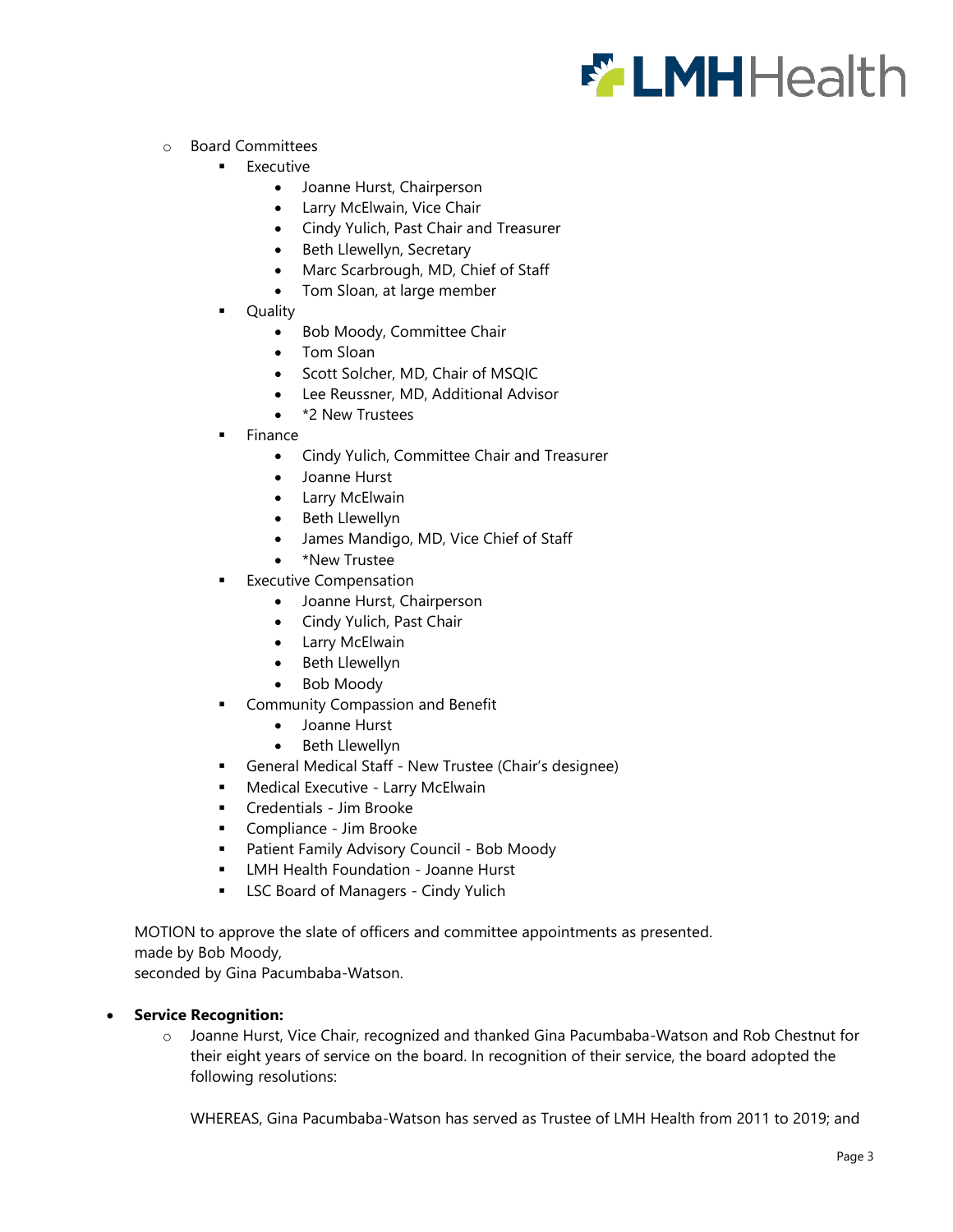

- o Board Committees
	- **Executive** 
		- Joanne Hurst, Chairperson
		- Larry McElwain, Vice Chair
		- Cindy Yulich, Past Chair and Treasurer
		- Beth Llewellyn, Secretary
		- Marc Scarbrough, MD, Chief of Staff
		- Tom Sloan, at large member
	- Quality
		- Bob Moody, Committee Chair
		- Tom Sloan
		- Scott Solcher, MD, Chair of MSQIC
		- Lee Reussner, MD, Additional Advisor
		- \*2 New Trustees
	- Finance
		- Cindy Yulich, Committee Chair and Treasurer
		- Joanne Hurst
		- Larry McElwain
		- Beth Llewellyn
		- James Mandigo, MD, Vice Chief of Staff
		- \*New Trustee
	- Executive Compensation
		- Joanne Hurst, Chairperson
		- Cindy Yulich, Past Chair
		- Larry McElwain
		- Beth Llewellyn
		- Bob Moody
	- **Community Compassion and Benefit** 
		- Joanne Hurst
		- Beth Llewellyn
	- General Medical Staff New Trustee (Chair's designee)
	- **Medical Executive Larry McElwain**
	- Credentials Jim Brooke
	- **Compliance Jim Brooke**
	- **Patient Family Advisory Council Bob Moody**
	- **EXTERGHT HEALTH FOUNDATION Joanne Hurst**
	- **EXEC Board of Managers Cindy Yulich**

MOTION to approve the slate of officers and committee appointments as presented. made by Bob Moody,

seconded by Gina Pacumbaba-Watson.

#### **Service Recognition:**

o Joanne Hurst, Vice Chair, recognized and thanked Gina Pacumbaba-Watson and Rob Chestnut for their eight years of service on the board. In recognition of their service, the board adopted the following resolutions:

WHEREAS, Gina Pacumbaba-Watson has served as Trustee of LMH Health from 2011 to 2019; and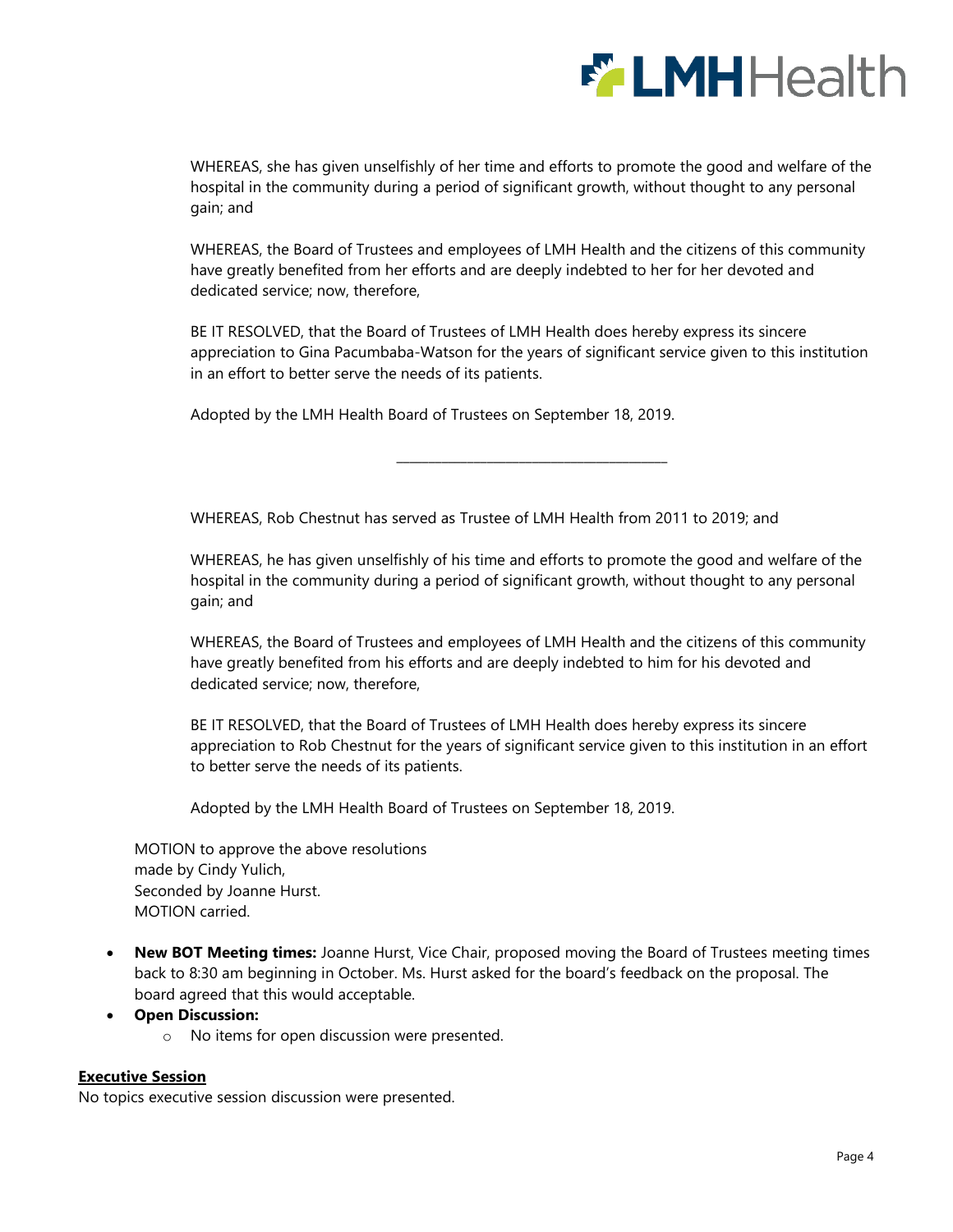

WHEREAS, she has given unselfishly of her time and efforts to promote the good and welfare of the hospital in the community during a period of significant growth, without thought to any personal gain; and

WHEREAS, the Board of Trustees and employees of LMH Health and the citizens of this community have greatly benefited from her efforts and are deeply indebted to her for her devoted and dedicated service; now, therefore,

BE IT RESOLVED, that the Board of Trustees of LMH Health does hereby express its sincere appreciation to Gina Pacumbaba-Watson for the years of significant service given to this institution in an effort to better serve the needs of its patients.

\_\_\_\_\_\_\_\_\_\_\_\_\_\_\_\_\_\_\_\_\_\_\_\_\_\_\_\_\_\_\_\_\_\_\_\_\_\_\_\_\_\_

Adopted by the LMH Health Board of Trustees on September 18, 2019.

WHEREAS, Rob Chestnut has served as Trustee of LMH Health from 2011 to 2019; and

WHEREAS, he has given unselfishly of his time and efforts to promote the good and welfare of the hospital in the community during a period of significant growth, without thought to any personal gain; and

WHEREAS, the Board of Trustees and employees of LMH Health and the citizens of this community have greatly benefited from his efforts and are deeply indebted to him for his devoted and dedicated service; now, therefore,

BE IT RESOLVED, that the Board of Trustees of LMH Health does hereby express its sincere appreciation to Rob Chestnut for the years of significant service given to this institution in an effort to better serve the needs of its patients.

Adopted by the LMH Health Board of Trustees on September 18, 2019.

MOTION to approve the above resolutions made by Cindy Yulich, Seconded by Joanne Hurst. MOTION carried.

 **New BOT Meeting times:** Joanne Hurst, Vice Chair, proposed moving the Board of Trustees meeting times back to 8:30 am beginning in October. Ms. Hurst asked for the board's feedback on the proposal. The board agreed that this would acceptable.

#### **Open Discussion:**

o No items for open discussion were presented.

#### **Executive Session**

No topics executive session discussion were presented.